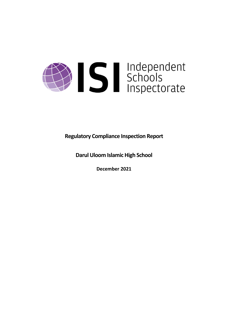

**Regulatory Compliance Inspection Report**

**Darul Uloom Islamic High School**

**December 2021**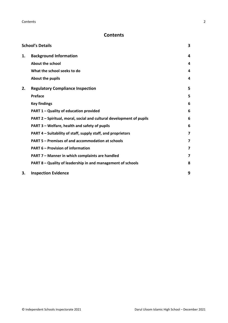# **Contents**

| <b>School's Details</b> |                                                                      |   |
|-------------------------|----------------------------------------------------------------------|---|
| 1.                      | <b>Background Information</b>                                        | 4 |
|                         | <b>About the school</b>                                              | 4 |
|                         | What the school seeks to do                                          | 4 |
|                         | About the pupils                                                     | 4 |
| 2.                      | <b>Regulatory Compliance Inspection</b>                              | 5 |
|                         | <b>Preface</b>                                                       | 5 |
|                         | <b>Key findings</b>                                                  | 6 |
|                         | PART 1 - Quality of education provided                               | 6 |
|                         | PART 2 - Spiritual, moral, social and cultural development of pupils | 6 |
|                         | PART 3 - Welfare, health and safety of pupils                        | 6 |
|                         | PART 4 – Suitability of staff, supply staff, and proprietors         | 7 |
|                         | PART 5 - Premises of and accommodation at schools                    | 7 |
|                         | <b>PART 6 - Provision of information</b>                             | 7 |
|                         | PART 7 - Manner in which complaints are handled                      | 7 |
|                         | PART 8 - Quality of leadership in and management of schools          | 8 |
| 3.                      | <b>Inspection Evidence</b>                                           | 9 |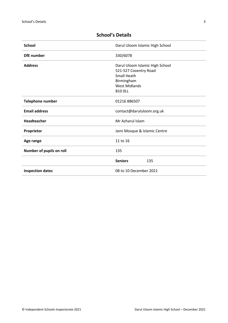| <b>School</b>            | Darul Uloom Islamic High School                                                                                      |
|--------------------------|----------------------------------------------------------------------------------------------------------------------|
| <b>DfE</b> number        | 330/6078                                                                                                             |
| <b>Address</b>           | Darul Uloom Islamic High School<br>521-527 Coventry Road<br><b>Small Heath</b><br>Birmingham<br><b>West Midlands</b> |
|                          | <b>B10 OLL</b>                                                                                                       |
| <b>Telephone number</b>  | 01216 886507                                                                                                         |
| <b>Email address</b>     | contact@darululoom.org.uk                                                                                            |
| Headteacher              | Mr Azharul Islam                                                                                                     |
| Proprietor               | Jami Mosque & Islamic Centre                                                                                         |
| Age range                | 11 to 16                                                                                                             |
| Number of pupils on roll | 135                                                                                                                  |
|                          | <b>Seniors</b><br>135                                                                                                |
| <b>Inspection dates</b>  | 08 to 10 December 2021                                                                                               |

# <span id="page-2-0"></span>**School's Details**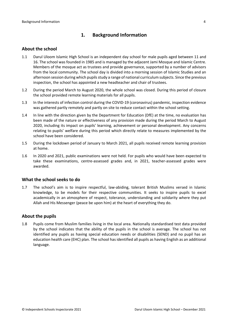## <span id="page-3-0"></span>**1. Background Information**

### <span id="page-3-1"></span>**About the school**

- 1.1 Darul Uloom Islamic High School is an independent day school for male pupils aged between 11 and 16. The school was founded in 1985 and is managed by the adjacent Jami Mosque and Islamic Centre. Members of the mosque act as trustees and provide governance, supported by a number of advisors from the local community. The school day is divided into a morning session of Islamic Studies and an afternoon session during which pupils study a range of national curriculum subjects. Since the previous inspection, the school has appointed a new headteacher and chair of trustees.
- 1.2 During the period March to August 2020, the whole school was closed. During this period of closure the school provided remote learning materials for all pupils.
- 1.3 In the interests of infection control during the COVID-19 (coronavirus) pandemic, inspection evidence was gathered partly remotely and partly on site to reduce contact within the school setting.
- 1.4 In line with the direction given by the Department for Education (DfE) at the time, no evaluation has been made of the nature or effectiveness of any provision made during the period March to August 2020, including its impact on pupils' learning, achievement or personal development. Any concerns relating to pupils' welfare during this period which directly relate to measures implemented by the school have been considered.
- 1.5 During the lockdown period of January to March 2021, all pupils received remote learning provision at home.
- 1.6 In 2020 and 2021, public examinations were not held. For pupils who would have been expected to take these examinations, centre-assessed grades and, in 2021, teacher-assessed grades were awarded.

## <span id="page-3-2"></span>**What the school seeks to do**

1.7 The school's aim is to inspire respectful, law-abiding, tolerant British Muslims versed in Islamic knowledge, to be models for their respective communities. It seeks to inspire pupils to excel academically in an atmosphere of respect, tolerance, understanding and solidarity where they put Allah and His Messenger (peace be upon him) at the heart of everything they do.

#### <span id="page-3-3"></span>**About the pupils**

1.8 Pupils come from Muslim families living in the local area. Nationally standardised test data provided by the school indicates that the ability of the pupils in the school is average. The school has not identified any pupils as having special education needs or disabilities (SEND) and no pupil has an education health care (EHC) plan. The school has identified all pupils as having English as an additional language.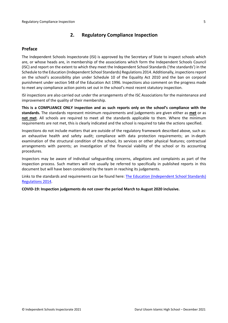## <span id="page-4-0"></span>**2. Regulatory Compliance Inspection**

## <span id="page-4-1"></span>**Preface**

The Independent Schools Inspectorate (ISI) is approved by the Secretary of State to inspect schools which are, or whose heads are, in membership of the associations which form the Independent Schools Council (ISC) and report on the extent to which they meet the Independent School Standards ('the standards') in the Schedule to the Education (Independent School Standards) Regulations 2014. Additionally, inspectionsreport on the school's accessibility plan under Schedule 10 of the Equality Act 2010 and the ban on corporal punishment under section 548 of the Education Act 1996. Inspections also comment on the progress made to meet any compliance action points set out in the school's most recent statutory inspection.

ISI inspections are also carried out under the arrangements of the ISC Associations for the maintenance and improvement of the quality of their membership.

**This is a COMPLIANCE ONLY inspection and as such reports only on the school's compliance with the standards.** The standards represent minimum requirements and judgements are given either as **met** or as **not met**. All schools are required to meet all the standards applicable to them. Where the minimum requirements are not met, this is clearly indicated and the school is required to take the actions specified.

Inspections do not include matters that are outside of the regulatory framework described above, such as: an exhaustive health and safety audit; compliance with data protection requirements; an in-depth examination of the structural condition of the school, its services or other physical features; contractual arrangements with parents; an investigation of the financial viability of the school or its accounting procedures.

Inspectors may be aware of individual safeguarding concerns, allegations and complaints as part of the inspection process. Such matters will not usually be referred to specifically in published reports in this document but will have been considered by the team in reaching its judgements.

Links to the standards and requirements can be found here: The Education [\(Independent](http://www.legislation.gov.uk/uksi/2014/3283/contents/made) School Standards) [Regulations](http://www.legislation.gov.uk/uksi/2014/3283/contents/made) 2014.

**COVID-19: Inspection judgements do not cover the period March to August 2020 inclusive.**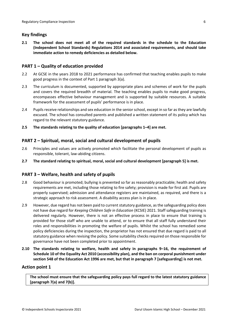## <span id="page-5-0"></span>**Key findings**

**2.1 The school does not meet all of the required standards in the schedule to the Education (Independent School Standards) Regulations 2014 and associated requirements, and should take immediate action to remedy deficiencies as detailed below.**

## <span id="page-5-1"></span>**PART 1 – Quality of education provided**

- 2.2 At GCSE in the years 2018 to 2021 performance has confirmed that teaching enables pupils to make good progress in the context of Part 1 paragraph 3(a).
- 2.3 The curriculum is documented, supported by appropriate plans and schemes of work for the pupils and covers the required breadth of material. The teaching enables pupils to make good progress, encompasses effective behaviour management and is supported by suitable resources. A suitable framework for the assessment of pupils' performance is in place.
- 2.4 Pupils receive relationships and sex education in the senior school, except in so far as they are lawfully excused. The school has consulted parents and published a written statement of its policy which has regard to the relevant statutory guidance.
- **2.5 The standards relating to the quality of education [paragraphs 1–4] are met.**

## <span id="page-5-2"></span>**PART 2 – Spiritual, moral, social and cultural development of pupils**

- 2.6 Principles and values are actively promoted which facilitate the personal development of pupils as responsible, tolerant, law-abiding citizens.
- **2.7 The standard relating to spiritual, moral, social and cultural development [paragraph 5] is met.**

## <span id="page-5-3"></span>**PART 3 – Welfare, health and safety of pupils**

- 2.8 Good behaviour is promoted; bullying is prevented so far as reasonably practicable; health and safety requirements are met, including those relating to fire safety; provision is made for first aid. Pupils are properly supervised; admission and attendance registers are maintained, as required, and there is a strategic approach to risk assessment. A disability access plan is in place.
- 2.9 However, due regard has not been paid to current statutory guidance, as the safeguarding policy does not have due regard for *Keeping Children Safe in Education* (KCSIE) 2021. Staff safeguarding training is delivered regularly. However, there is not an effective process in place to ensure that training is provided for those staff who are unable to attend, or to ensure that all staff fully understand their roles and responsibilities in promoting the welfare of pupils. Whilst the school has remedied some policy deficiencies during the inspection, the proprietor has not ensured that due regard is paid to all statutory guidance when revising the policy. Some suitability checks required on those responsible for governance have not been completed prior to appointment.
- **2.10 The standards relating to welfare, health and safety in paragraphs 9–16, the requirement of Schedule 10 of the Equality Act 2010 (accessibility plan), and the ban on corporal punishment under section 548 of the Education Act 1996 are met, but that in paragraph 7 [safeguarding] is not met.**

## **Action point 1**

**The school must ensure that the safeguarding policy pays full regard to the latest statutory guidance [paragraph 7(a) and 7(b)].**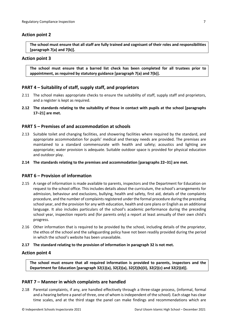## <span id="page-6-0"></span>**Action point 2**

**The school must ensure that all staff are fully trained and cognisant of their roles and responsibilities [paragraph 7(a) and 7(b)].**

### **Action point 3**

**The school must ensure that a barred list check has been completed for all trustees prior to appointment, as required by statutory guidance [paragraph 7(a) and 7(b)].**

## **PART 4 – Suitability of staff, supply staff, and proprietors**

- 2.11 The school makes appropriate checks to ensure the suitability of staff, supply staff and proprietors, and a register is kept as required.
- **2.12 The standards relating to the suitability of those in contact with pupils at the school [paragraphs 17–21] are met.**

### <span id="page-6-1"></span>**PART 5 – Premises of and accommodation at schools**

- 2.13 Suitable toilet and changing facilities, and showering facilities where required by the standard, and appropriate accommodation for pupils' medical and therapy needs are provided. The premises are maintained to a standard commensurate with health and safety; acoustics and lighting are appropriate; water provision is adequate. Suitable outdoor space is provided for physical education and outdoor play.
- **2.14 The standards relating to the premises and accommodation [paragraphs 22–31] are met.**

## <span id="page-6-2"></span>**PART 6 – Provision of information**

- 2.15 A range of information is made available to parents, inspectors and the Department for Education on request to the school office. This includes details about the curriculum, the school's arrangements for admission, behaviour and exclusions, bullying, health and safety, first aid, details of the complaints procedure, and the number of complaints registered under the formal procedure during the preceding school year, and the provision for any with education, health and care plans or English as an additional language. It also includes particulars of the school's academic performance during the preceding school year, inspection reports and (for parents only) a report at least annually of their own child's progress.
- 2.16 Other information that is required to be provided by the school, including details of the proprietor, the ethos of the school and the safeguarding policy have not been readily provided during the period in which the school's website has been unavailable.

#### **2.17 The standard relating to the provision of information in paragraph 32 is not met.**

#### **Action point 4**

**The school must ensure that all required information is provided to parents, inspectors and the Department for Education [paragraph 32(1)(a), 32(2)(a), 32(2)(b)(ii), 32(2)(c) and 32(2)(d)].**

#### <span id="page-6-3"></span>**PART 7 – Manner in which complaints are handled**

2.18 Parental complaints, if any, are handled effectively through a three-stage process, (informal, formal and a hearing before a panel of three, one of whom is independent of the school). Each stage has clear time scales, and at the third stage the panel can make findings and recommendations which are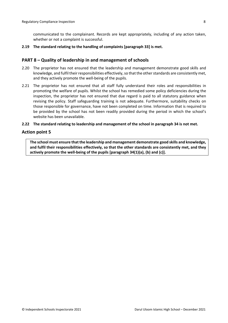communicated to the complainant. Records are kept appropriately, including of any action taken, whether or not a complaint is successful.

#### **2.19 The standard relating to the handling of complaints [paragraph 33] is met.**

#### <span id="page-7-0"></span>**PART 8 – Quality of leadership in and management of schools**

- 2.20 The proprietor has not ensured that the leadership and management demonstrate good skills and knowledge, and fulfil their responsibilities effectively, so that the other standards are consistently met, and they actively promote the well-being of the pupils.
- 2.21 The proprietor has not ensured that all staff fully understand their roles and responsibilities in promoting the welfare of pupils. Whilst the school has remedied some policy deficiencies during the inspection, the proprietor has not ensured that due regard is paid to all statutory guidance when revising the policy. Staff safeguarding training is not adequate. Furthermore, suitability checks on those responsible for governance, have not been completed on time. Information that is required to be provided by the school has not been readily provided during the period in which the school's website has been unavailable.

#### **2.22 The standard relating to leadership and management of the school in paragraph 34 is not met.**

#### **Action point 5**

**The school must ensure that the leadership and management demonstrate good skills and knowledge, and fulfil their responsibilities effectively, so that the other standards are consistently met, and they actively promote the well-being of the pupils [paragraph 34(1)(a), (b) and (c)].**